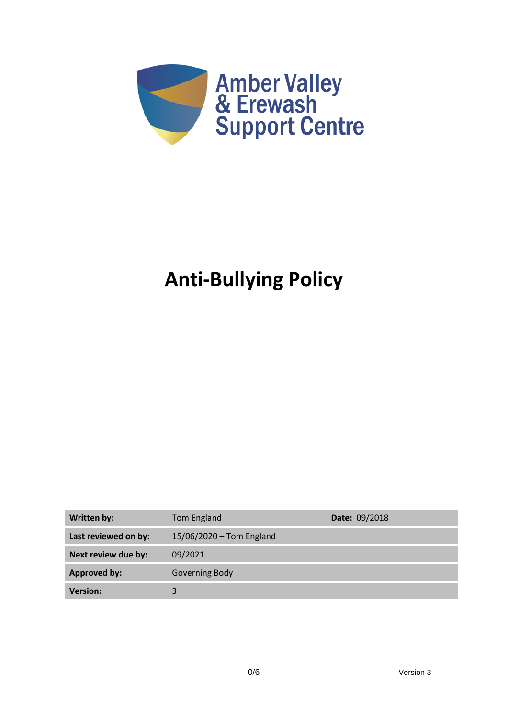

# **Anti-Bullying Policy**

| Written by:          | Tom England              | Date: 09/2018 |
|----------------------|--------------------------|---------------|
| Last reviewed on by: | 15/06/2020 - Tom England |               |
| Next review due by:  | 09/2021                  |               |
| <b>Approved by:</b>  | Governing Body           |               |
| <b>Version:</b>      | 3                        |               |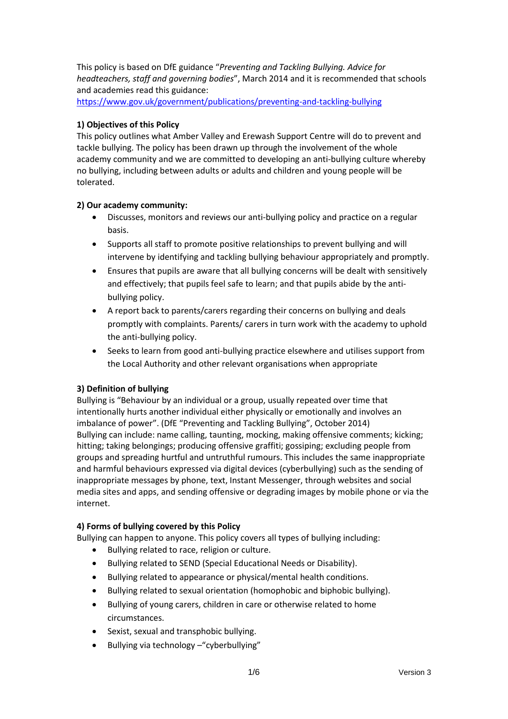This policy is based on DfE guidance "*Preventing and Tackling Bullying. Advice for headteachers, staff and governing bodies*", March 2014 and it is recommended that schools and academies read this guidance:

<https://www.gov.uk/government/publications/preventing-and-tackling-bullying>

#### **1) Objectives of this Policy**

This policy outlines what Amber Valley and Erewash Support Centre will do to prevent and tackle bullying. The policy has been drawn up through the involvement of the whole academy community and we are committed to developing an anti-bullying culture whereby no bullying, including between adults or adults and children and young people will be tolerated.

#### **2) Our academy community:**

- Discusses, monitors and reviews our anti-bullying policy and practice on a regular basis.
- Supports all staff to promote positive relationships to prevent bullying and will intervene by identifying and tackling bullying behaviour appropriately and promptly.
- Ensures that pupils are aware that all bullying concerns will be dealt with sensitively and effectively; that pupils feel safe to learn; and that pupils abide by the antibullying policy.
- A report back to parents/carers regarding their concerns on bullying and deals promptly with complaints. Parents/ carers in turn work with the academy to uphold the anti-bullying policy.
- Seeks to learn from good anti-bullying practice elsewhere and utilises support from the Local Authority and other relevant organisations when appropriate

# **3) Definition of bullying**

Bullying is "Behaviour by an individual or a group, usually repeated over time that intentionally hurts another individual either physically or emotionally and involves an imbalance of power". (DfE "Preventing and Tackling Bullying", October 2014) Bullying can include: name calling, taunting, mocking, making offensive comments; kicking; hitting; taking belongings; producing offensive graffiti; gossiping; excluding people from groups and spreading hurtful and untruthful rumours. This includes the same inappropriate and harmful behaviours expressed via digital devices (cyberbullying) such as the sending of inappropriate messages by phone, text, Instant Messenger, through websites and social media sites and apps, and sending offensive or degrading images by mobile phone or via the internet.

#### **4) Forms of bullying covered by this Policy**

Bullying can happen to anyone. This policy covers all types of bullying including:

- Bullying related to race, religion or culture.
- Bullying related to SEND (Special Educational Needs or Disability).
- Bullying related to appearance or physical/mental health conditions.
- Bullying related to sexual orientation (homophobic and biphobic bullying).
- Bullying of young carers, children in care or otherwise related to home circumstances.
- Sexist, sexual and transphobic bullying.
- Bullying via technology –"cyberbullying"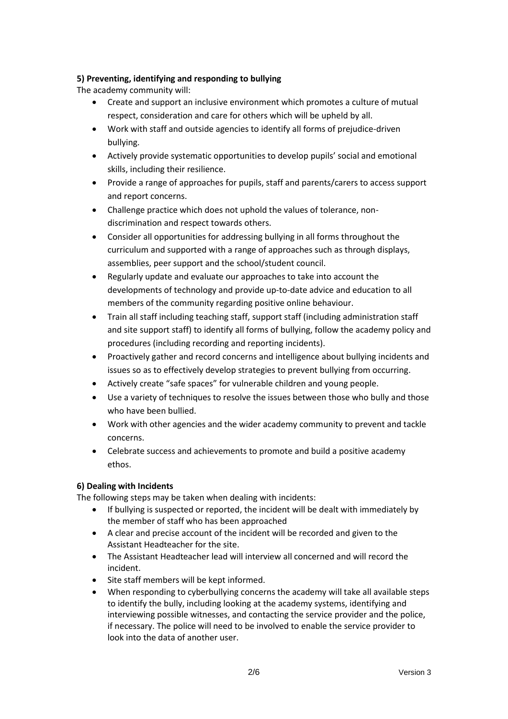# **5) Preventing, identifying and responding to bullying**

The academy community will:

- Create and support an inclusive environment which promotes a culture of mutual respect, consideration and care for others which will be upheld by all.
- Work with staff and outside agencies to identify all forms of prejudice-driven bullying.
- Actively provide systematic opportunities to develop pupils' social and emotional skills, including their resilience.
- Provide a range of approaches for pupils, staff and parents/carers to access support and report concerns.
- Challenge practice which does not uphold the values of tolerance, nondiscrimination and respect towards others.
- Consider all opportunities for addressing bullying in all forms throughout the curriculum and supported with a range of approaches such as through displays, assemblies, peer support and the school/student council.
- Regularly update and evaluate our approaches to take into account the developments of technology and provide up-to-date advice and education to all members of the community regarding positive online behaviour.
- Train all staff including teaching staff, support staff (including administration staff and site support staff) to identify all forms of bullying, follow the academy policy and procedures (including recording and reporting incidents).
- Proactively gather and record concerns and intelligence about bullying incidents and issues so as to effectively develop strategies to prevent bullying from occurring.
- Actively create "safe spaces" for vulnerable children and young people.
- Use a variety of techniques to resolve the issues between those who bully and those who have been bullied.
- Work with other agencies and the wider academy community to prevent and tackle concerns.
- Celebrate success and achievements to promote and build a positive academy ethos.

# **6) Dealing with Incidents**

The following steps may be taken when dealing with incidents:

- If bullying is suspected or reported, the incident will be dealt with immediately by the member of staff who has been approached
- A clear and precise account of the incident will be recorded and given to the Assistant Headteacher for the site.
- The Assistant Headteacher lead will interview all concerned and will record the incident.
- Site staff members will be kept informed.
- When responding to cyberbullying concerns the academy will take all available steps to identify the bully, including looking at the academy systems, identifying and interviewing possible witnesses, and contacting the service provider and the police, if necessary. The police will need to be involved to enable the service provider to look into the data of another user.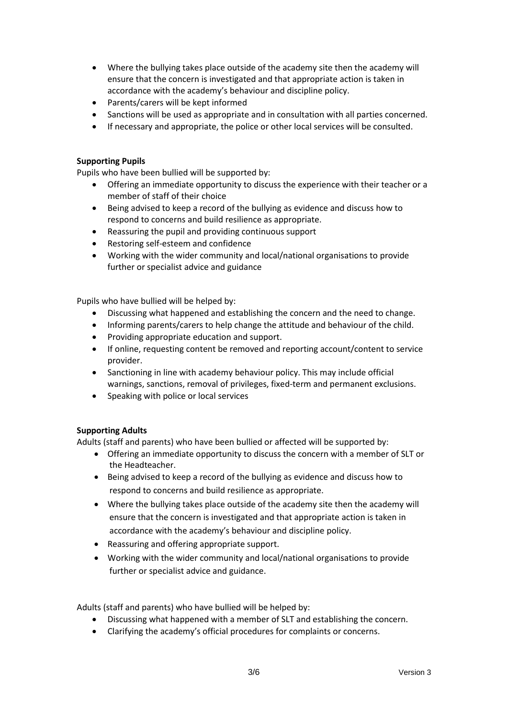- Where the bullying takes place outside of the academy site then the academy will ensure that the concern is investigated and that appropriate action is taken in accordance with the academy's behaviour and discipline policy.
- Parents/carers will be kept informed
- Sanctions will be used as appropriate and in consultation with all parties concerned.
- If necessary and appropriate, the police or other local services will be consulted.

#### **Supporting Pupils**

Pupils who have been bullied will be supported by:

- Offering an immediate opportunity to discuss the experience with their teacher or a member of staff of their choice
- Being advised to keep a record of the bullying as evidence and discuss how to respond to concerns and build resilience as appropriate.
- Reassuring the pupil and providing continuous support
- Restoring self-esteem and confidence
- Working with the wider community and local/national organisations to provide further or specialist advice and guidance

Pupils who have bullied will be helped by:

- Discussing what happened and establishing the concern and the need to change.
- Informing parents/carers to help change the attitude and behaviour of the child.
- Providing appropriate education and support.
- If online, requesting content be removed and reporting account/content to service provider.
- Sanctioning in line with academy behaviour policy. This may include official warnings, sanctions, removal of privileges, fixed-term and permanent exclusions.
- Speaking with police or local services

# **Supporting Adults**

Adults (staff and parents) who have been bullied or affected will be supported by:

- Offering an immediate opportunity to discuss the concern with a member of SLT or the Headteacher.
- Being advised to keep a record of the bullying as evidence and discuss how to respond to concerns and build resilience as appropriate.
- Where the bullying takes place outside of the academy site then the academy will ensure that the concern is investigated and that appropriate action is taken in accordance with the academy's behaviour and discipline policy.
- Reassuring and offering appropriate support.
- Working with the wider community and local/national organisations to provide further or specialist advice and guidance.

Adults (staff and parents) who have bullied will be helped by:

- Discussing what happened with a member of SLT and establishing the concern.
- Clarifying the academy's official procedures for complaints or concerns.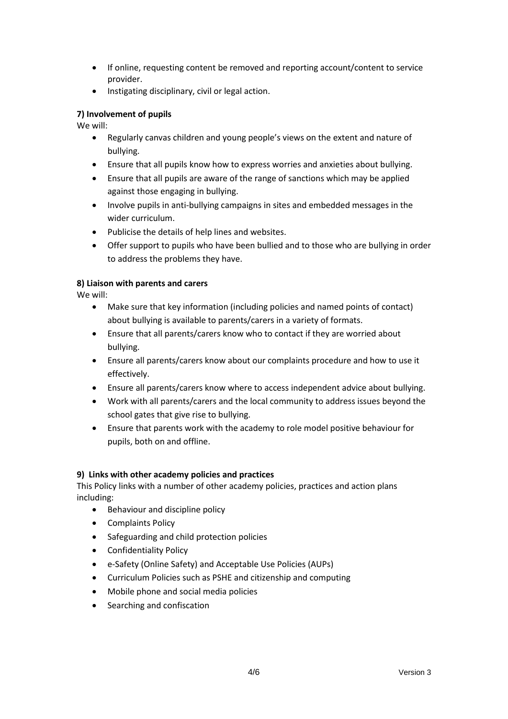- If online, requesting content be removed and reporting account/content to service provider.
- Instigating disciplinary, civil or legal action.

# **7) Involvement of pupils**

We will:

- Regularly canvas children and young people's views on the extent and nature of bullying.
- Ensure that all pupils know how to express worries and anxieties about bullying.
- Ensure that all pupils are aware of the range of sanctions which may be applied against those engaging in bullying.
- Involve pupils in anti-bullying campaigns in sites and embedded messages in the wider curriculum.
- Publicise the details of help lines and websites.
- Offer support to pupils who have been bullied and to those who are bullying in order to address the problems they have.

# **8) Liaison with parents and carers**

We will:

- Make sure that key information (including policies and named points of contact) about bullying is available to parents/carers in a variety of formats.
- Ensure that all parents/carers know who to contact if they are worried about bullying.
- Ensure all parents/carers know about our complaints procedure and how to use it effectively.
- Ensure all parents/carers know where to access independent advice about bullying.
- Work with all parents/carers and the local community to address issues beyond the school gates that give rise to bullying.
- Ensure that parents work with the academy to role model positive behaviour for pupils, both on and offline.

# **9) Links with other academy policies and practices**

This Policy links with a number of other academy policies, practices and action plans including:

- Behaviour and discipline policy
- Complaints Policy
- Safeguarding and child protection policies
- Confidentiality Policy
- e-Safety (Online Safety) and Acceptable Use Policies (AUPs)
- Curriculum Policies such as PSHE and citizenship and computing
- Mobile phone and social media policies
- Searching and confiscation